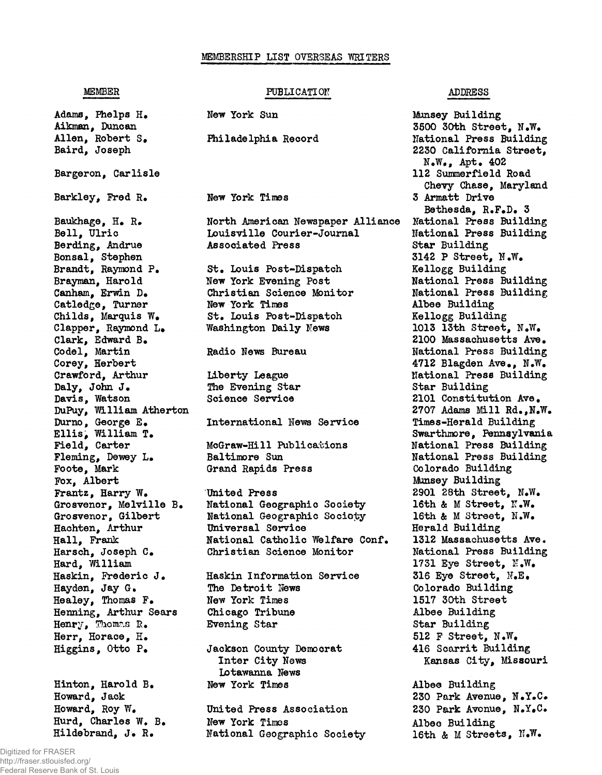## **MEMBERSHIP LIST OVERSEAS WRITERS**

## **MEMBER PUBLICATION ADDRESS**

**Adams, Phelps H. Aikman, Duncan Allen, Robert S. Baird, Joseph Barger on, Carlisle Barkley, Fred R. Baukhage, H. R. Bell, Ulric Berding, Andrue Bonsai, Stephen Brandt, Raymond P. Brayman, Harold Canham, Erwin D. Catledge, Turner Childs, Marquis W. Clapper, Raymond L\* Clark, Edward B. Codel, Martin Corey, Herbert Crawford, Arthur Daly, John J. Davis, Watson DuPuy, William Atherton Durno, George E. Ellis, William T. Field, Carter Fleming, Dewey L. Foote, Mark Fox, Albert Frantz, Harry W. Grosvenor, Melville B. Grosvenor, Gilbert Hachten, Arthur Hall, Frank Harsch, Joseph C. Hard, William** Haskin, Frederic J. **Hayden, Jay G. Healey, Thomas F. Henning, Arthur Sears Henry, Thomas 2. Herr, Horace, H. Higgins, Otto P. Hinton, Harold B. Howard, Jack Howard, Roy W. Hurd, Charles W. B. Hildebrand, J. R. National Geographic Society**

**New York Sun Philadelphia Record New York Times North American Newspaper Alliance Louisville Courier-Joumal Associated Press St. Louis Post-Dispatch New York Evening Post Christian Science Monitor New York Times St. Louis Post-Dispatoh Washington Daily News Radio News Bureau Liberty League The Evening Star Science Service International Hews Service McGraw-Hill Publications Baltimore Sun Grand Rapids Press United Press National Geographic Society National Geographic Society Universal Service National Catholic Welfare Conf. Christian Science Monitor Haskin Information Service The Detroit News New York Times Chicago Tribune Evening Star Jackson County Democrat Inter City News Lotawanna News New York Times United Press Association New York Times**

**Munsey Building 3500 30th Street, N.W. National Press Building 2230 California Street, N.W., Apt. 402 112 Summerfield Road Chevy Chase, Maryland 3 Armatt Drive Bethesda, R.F.D. 3 National Press Building National Press Building Star Building 3142 P Street, N.W. Kellogg Building National Press Building National Press Building Albee Building Kellogg Building 1013 13th Street, N.W. 2100 Massachusetts Ave. National Press Building 4712 Blagden Ave., N.W. National Press Building Star Building 2101 Constitution Ave. 2707 Adams Mill Rd.,N.W. Times-Herald Building Swarthmore, Pennsylvania National Press Building National Press Building Colorado Building Munsey Building 2901 28th Street, N.W.** 16th & M Street, N.W. **16th & M Street, N.W. Herald Building 1312 Massachusetts Ave. National Press Building 1731 Eye Street, K.W. 316 Eye Street, N.E. Colorado Building 1517 30th Street Albee Building Star Building 512 F Street, N.W. 416 Scarrit Building Kansas City, Missouri Albee Building 230 Park Avenue, N.Y.C.**

**230 Park Avenue, N.Y.C. Albee Building 16th** *&* **M Streets, ÎT.W.**